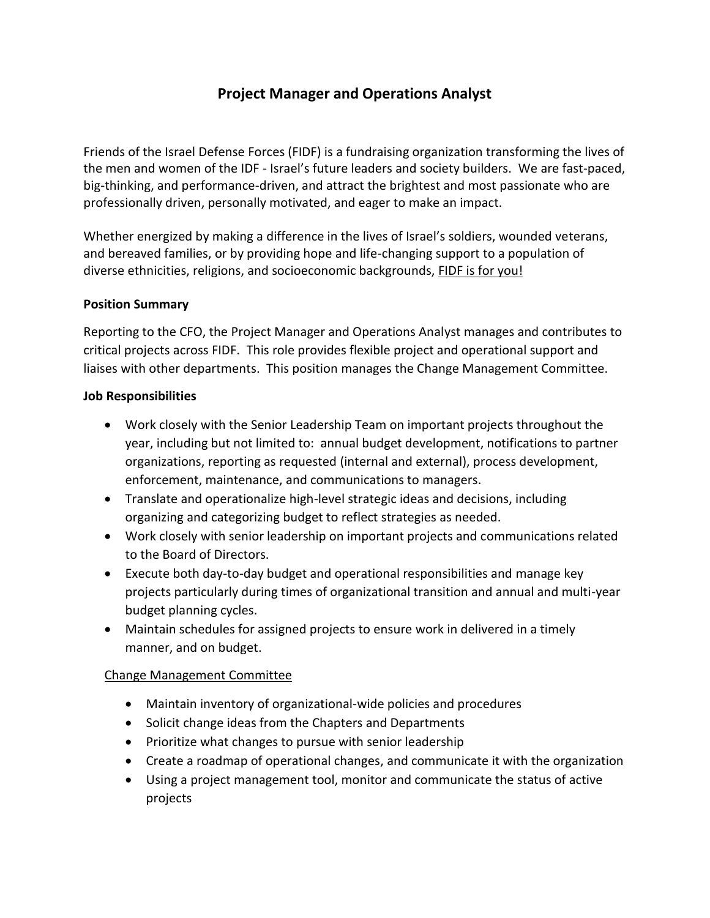# **Project Manager and Operations Analyst**

Friends of the Israel Defense Forces (FIDF) is a fundraising organization transforming the lives of the men and women of the IDF - Israel's future leaders and society builders. We are fast-paced, big-thinking, and performance-driven, and attract the brightest and most passionate who are professionally driven, personally motivated, and eager to make an impact.

Whether energized by making a difference in the lives of Israel's soldiers, wounded veterans, and bereaved families, or by providing hope and life-changing support to a population of diverse ethnicities, religions, and socioeconomic backgrounds, FIDF is for you!

### **Position Summary**

Reporting to the CFO, the Project Manager and Operations Analyst manages and contributes to critical projects across FIDF. This role provides flexible project and operational support and liaises with other departments. This position manages the Change Management Committee.

#### **Job Responsibilities**

- Work closely with the Senior Leadership Team on important projects throughout the year, including but not limited to: annual budget development, notifications to partner organizations, reporting as requested (internal and external), process development, enforcement, maintenance, and communications to managers.
- Translate and operationalize high-level strategic ideas and decisions, including organizing and categorizing budget to reflect strategies as needed.
- Work closely with senior leadership on important projects and communications related to the Board of Directors.
- Execute both day-to-day budget and operational responsibilities and manage key projects particularly during times of organizational transition and annual and multi-year budget planning cycles.
- Maintain schedules for assigned projects to ensure work in delivered in a timely manner, and on budget.

## Change Management Committee

- Maintain inventory of organizational-wide policies and procedures
- Solicit change ideas from the Chapters and Departments
- Prioritize what changes to pursue with senior leadership
- Create a roadmap of operational changes, and communicate it with the organization
- Using a project management tool, monitor and communicate the status of active projects